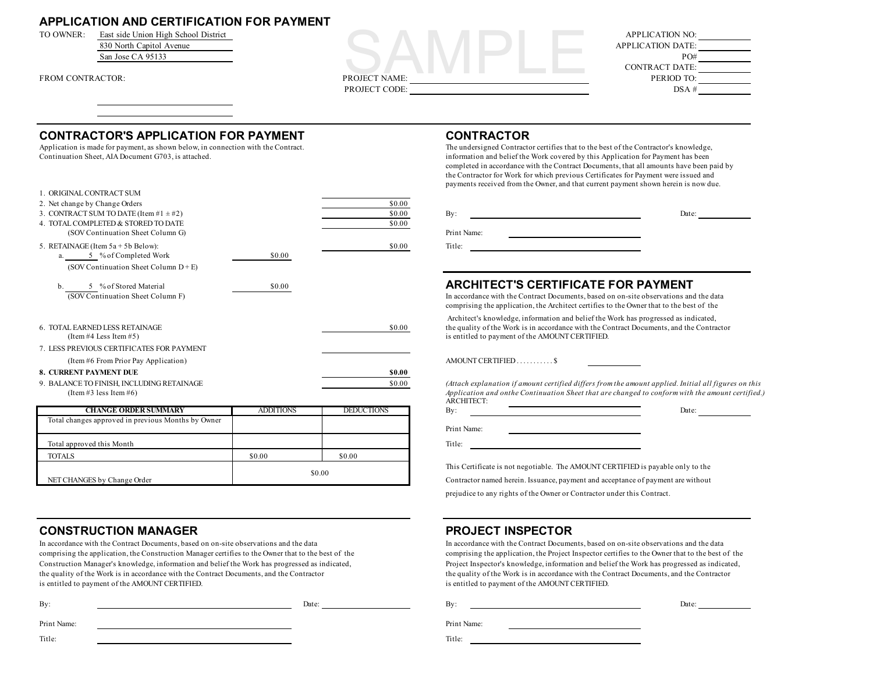## **APPLICATION AND CERTIFICATION FOR PAYMENT**





### **CONTRACTOR'S APPLICATION FOR PAYMENT CONTRACTOR**

Application is made for payment, as shown below, in connection with the Contract. The undersigned Contractor certifies that to the best of the Contractor's knowledge,

| 1. ORIGINAL CONTRACT SUM                   |        |        |                                                                                                                                                                   |
|--------------------------------------------|--------|--------|-------------------------------------------------------------------------------------------------------------------------------------------------------------------|
| 2. Net change by Change Orders             |        | \$0.00 |                                                                                                                                                                   |
| 3. CONTRACT SUM TO DATE (Item #1 $\pm$ #2) |        | \$0.00 | $\mathbf{B} \mathbf{v}$ :<br>Date:                                                                                                                                |
| 4. TOTAL COMPLETED & STORED TO DATE        |        | \$0.00 |                                                                                                                                                                   |
| (SOV Continuation Sheet Column G)          |        |        | Print Name:                                                                                                                                                       |
| 5. RETAINAGE (Item $5a + 5b$ Below):       |        | \$0.00 | Title:                                                                                                                                                            |
| a. 5 % of Completed Work                   | \$0.00 |        |                                                                                                                                                                   |
| (SOV Continuation Sheet Column $D + E$ )   |        |        |                                                                                                                                                                   |
| 5 % of Stored Material                     | \$0.00 |        | ARCHITECT'S CERTIFICATE FOR PAYMENT                                                                                                                               |
| (SOV Continuation Sheet Column F)          |        |        | In accordance with the Contract Documents, based on on-site observations and<br>comprising the application, the Architect certifies to the Owner that to the best |
|                                            |        |        | Architect's knowledge, information and belief the Work has progressed as ind                                                                                      |
| 6. TOTAL EARNED LESS RETAINAGE             |        | \$0.00 | the quality of the Work is in accordance with the Contract Documents, and the                                                                                     |
| (Item #4 Less Item #5)                     |        |        | is entitled to payment of the AMOUNT CERTIFIED.                                                                                                                   |
| 7. LESS PREVIOUS CERTIFICATES FOR PAYMENT  |        |        |                                                                                                                                                                   |
| (Item #6 From Prior Pay Application)       |        |        |                                                                                                                                                                   |
| <b>8. CURRENT PAYMENT DUE</b>              |        | \$0.00 |                                                                                                                                                                   |
| 9. BALANCE TO FINISH, INCLUDING RETAINAGE  |        | \$0.00 | (Attach explanation if amount certified differs from the amount applied. Inition                                                                                  |
| (Item #3 less Item #6)                     |        |        | Application and onthe Continuation Sheet that are changed to conform with<br>ARCHITECT:                                                                           |

| <b>CHANGE ORDER SUMMARY</b>                        | <b>ADDITIONS</b> | <b>DEDUCTIONS</b> | Bv:<br>Date:                                                                 |
|----------------------------------------------------|------------------|-------------------|------------------------------------------------------------------------------|
| Total changes approved in previous Months by Owner |                  |                   |                                                                              |
|                                                    |                  |                   | Print Name:                                                                  |
| Total approved this Month                          |                  |                   | Title:                                                                       |
| <b>TOTALS</b>                                      | \$0.00           | \$0.00            |                                                                              |
|                                                    |                  |                   | This Certificate is not negotiable. The AMOUNT CERTIFIED is payable only to  |
| NET CHANGES by Change Order                        | \$0.00           |                   | Contractor named herein. Issuance, payment and acceptance of payment are wit |

## **CONSTRUCTION MANAGER PROJECT INSPECTOR**

comprising the application, the Construction Manager certifies to the Owner that to the best of the comprising the application, the Project Inspector certifies to the Owner that to the best of the Construction Manager's knowledge, information and belief the Work has progressed as indicated, Project Inspector's knowledge, information and belief the Work has progressed as indicated, the quality of the Work is in accordance with the Contract Documents, and the Contractor the quality of the Work is in accordance with the Contract Documents, and the Contractor is entitled to payment of the AMOUNT CERTIFIED. is entitled to payment of the AMOUNT CERTIFIED.

| ۰. | i |  |
|----|---|--|

Date:

Print Name:

Title:

Continuation Sheet, AIA Document G703, is attached. information and belief the Work covered by this Application for Payment has been completed in accordance with the Contract Documents, that all amounts have been paid by the Contractor for Work for which previous Certificates for Payment were issued and payments received from the Owner, and that current payment shown herein is now due.

| By:         | Date: |
|-------------|-------|
| Print Name: |       |
| Title:      |       |

#### b. <sup>5</sup> % of Stored Material \$0.00 **ARCHITECT'S CERTIFICATE FOR PAYMENT**

In accordance with the Contract Documents, based on on-site observations and the data comprising the application, the Architect certifies to the Owner that to the best of the

 Architect's knowledge, information and belief the Work has progressed as indicated, the quality of the Work is in accordance with the Contract Documents, and the Contractor is entitled to payment of the AMOUNT CERTIFIED.

(Attach explanation if amount certified differs from the amount applied. Initial all figures on this Application and onthe Continuation Sheet that are changed to conform with the amount certified.) ARCHITECT:

This Certificate is not negotiable. The AMOUNT CERTIFIED is payable only to the Contractor named herein. Issuance, payment and acceptance of payment are without

prejudice to any rights of the Owner or Contractor under this Contract.

In accordance with the Contract Documents, based on on-site observations and the data In accordance with the Contract Documents, based on on-site observations and the data

By: Date:

Print Name:

Title: